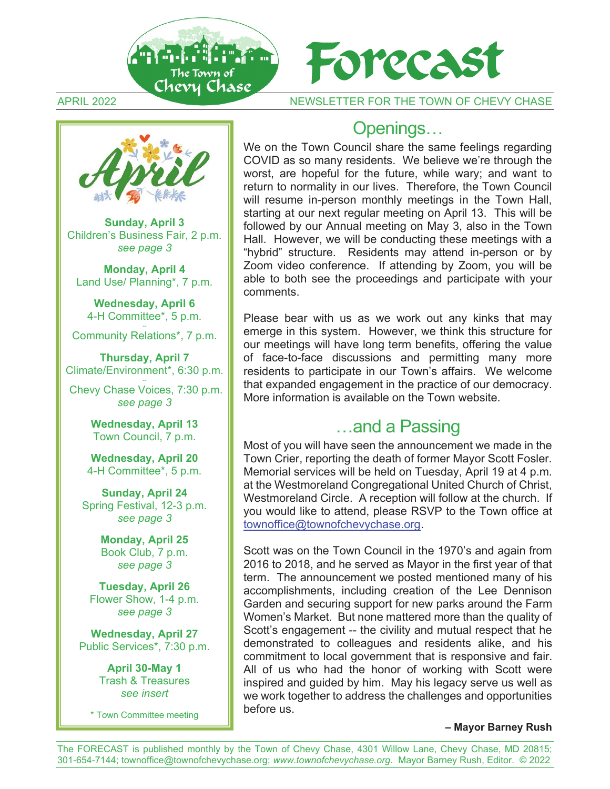



**Sunday, April 3** Children's Business Fair, 2 p.m. *see page 3* 

**Monday, April 4** Land Use/ Planning\*, 7 p.m.

**Wednesday, April 6** 4-H Committee\*, 5 p.m.

Community Relations\*, 7 p.m.

**Thursday, April 7** Climate/Environment\*, 6:30 p.m.

 Chevy Chase Voices, 7:30 p.m. *see page 3*

> **Wednesday, April 13**  Town Council, 7 p.m.

**Wednesday, April 20**  4-H Committee\*, 5 p.m.

**Sunday, April 24** Spring Festival, 12-3 p.m. *see page 3* 

> **Monday, April 25** Book Club, 7 p.m. *see page 3*

**Tuesday, April 26**  Flower Show, 1-4 p.m. *see page 3*

**Wednesday, April 27** Public Services\*, 7:30 p.m.

> **April 30-May 1** Trash & Treasures *see insert*

\* Town Committee meeting

## Openings…

We on the Town Council share the same feelings regarding COVID as so many residents. We believe we're through the worst, are hopeful for the future, while wary; and want to return to normality in our lives. Therefore, the Town Council will resume in-person monthly meetings in the Town Hall, starting at our next regular meeting on April 13. This will be followed by our Annual meeting on May 3, also in the Town Hall. However, we will be conducting these meetings with a "hybrid" structure. Residents may attend in-person or by Zoom video conference. If attending by Zoom, you will be able to both see the proceedings and participate with your comments.

Please bear with us as we work out any kinks that may emerge in this system. However, we think this structure for our meetings will have long term benefits, offering the value of face-to-face discussions and permitting many more residents to participate in our Town's affairs. We welcome that expanded engagement in the practice of our democracy. More information is available on the Town website.

## …and a Passing

Most of you will have seen the announcement we made in the Town Crier, reporting the death of former Mayor Scott Fosler. Memorial services will be held on Tuesday, April 19 at 4 p.m. at the Westmoreland Congregational United Church of Christ, Westmoreland Circle. A reception will follow at the church. If you would like to attend, please RSVP to the Town office at townoffice@townofchevychase.org.

Scott was on the Town Council in the 1970's and again from 2016 to 2018, and he served as Mayor in the first year of that term. The announcement we posted mentioned many of his accomplishments, including creation of the Lee Dennison Garden and securing support for new parks around the Farm Women's Market. But none mattered more than the quality of Scott's engagement -- the civility and mutual respect that he demonstrated to colleagues and residents alike, and his commitment to local government that is responsive and fair. All of us who had the honor of working with Scott were inspired and guided by him. May his legacy serve us well as we work together to address the challenges and opportunities before us.

#### **– Mayor Barney Rush**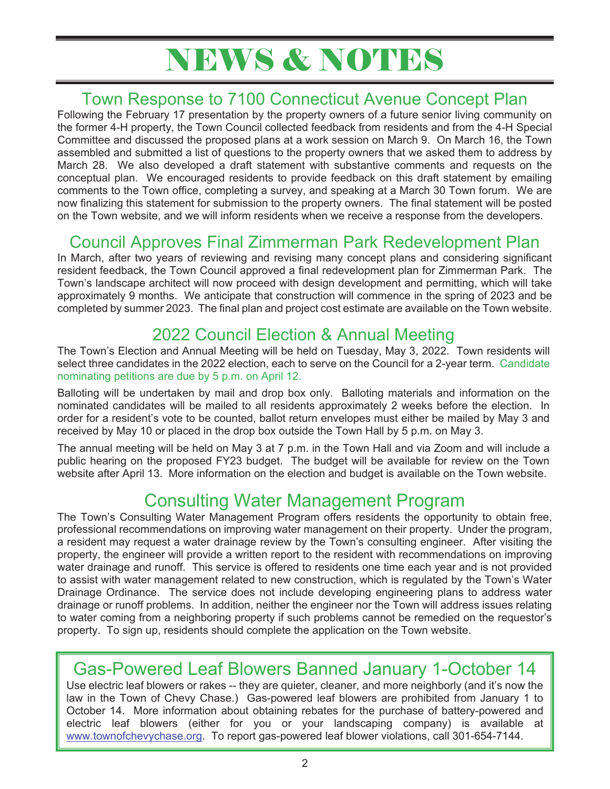## **NEWS & NOTES**

### Town Response to 7100 Connecticut Avenue Concept Plan

Following the February 17 presentation by the property owners of a future senior living community on the former 4-H property, the Town Council collected feedback from residents and from the 4-H Special Committee and discussed the proposed plans at a work session on March 9. On March 16, the Town assembled and submitted a list of questions to the property owners that we asked them to address by March 28. We also developed a draft statement with substantive comments and requests on the conceptual plan. We encouraged residents to provide feedback on this draft statement by emailing comments to the Town office, completing a survey, and speaking at a March 30 Town forum. We are now finalizing this statement for submission to the property owners. The final statement will be posted on the Town website, and we will inform residents when we receive a response from the developers.

## Council Approves Final Zimmerman Park Redevelopment Plan

In March, after two years of reviewing and revising many concept plans and considering significant resident feedback, the Town Council approved a final redevelopment plan for Zimmerman Park. The Town's landscape architect will now proceed with design development and permitting, which will take approximately 9 months. We anticipate that construction will commence in the spring of 2023 and be completed by summer 2023. The final plan and project cost estimate are available on the Town website.

## 2022 Council Election & Annual Meeting

The Town's Election and Annual Meeting will be held on Tuesday, May 3, 2022. Town residents will select three candidates in the 2022 election, each to serve on the Council for a 2-year term. Candidate nominating petitions are due by 5 p.m. on April 12.

Balloting will be undertaken by mail and drop box only. Balloting materials and information on the nominated candidates will be mailed to all residents approximately 2 weeks before the election. In order for a resident's vote to be counted, ballot return envelopes must either be mailed by May 3 and received by May 10 or placed in the drop box outside the Town Hall by 5 p.m. on May 3.

The annual meeting will be held on May 3 at 7 p.m. in the Town Hall and via Zoom and will include a public hearing on the proposed FY23 budget. The budget will be available for review on the Town website after April 13. More information on the election and budget is available on the Town website.

## Consulting Water Management Program

The Town's Consulting Water Management Program offers residents the opportunity to obtain free, professional recommendations on improving water management on their property. Under the program, a resident may request a water drainage review by the Town's consulting engineer. After visiting the property, the engineer will provide a written report to the resident with recommendations on improving water drainage and runoff. This service is offered to residents one time each year and is not provided to assist with water management related to new construction, which is regulated by the Town's Water Drainage Ordinance. The service does not include developing engineering plans to address water drainage or runoff problems. In addition, neither the engineer nor the Town will address issues relating to water coming from a neighboring property if such problems cannot be remedied on the requestor's property. To sign up, residents should complete the application on the Town website.

## Gas-Powered Leaf Blowers Banned January 1-October 14

Use electric leaf blowers or rakes -- they are quieter, cleaner, and more neighborly (and it's now the law in the Town of Chevy Chase.) Gas-powered leaf blowers are prohibited from January 1 to October 14. More information about obtaining rebates for the purchase of battery-powered and electric leaf blowers (either for you or your landscaping company) is available at www.townofchevychase.org. To report gas-powered leaf blower violations, call 301-654-7144.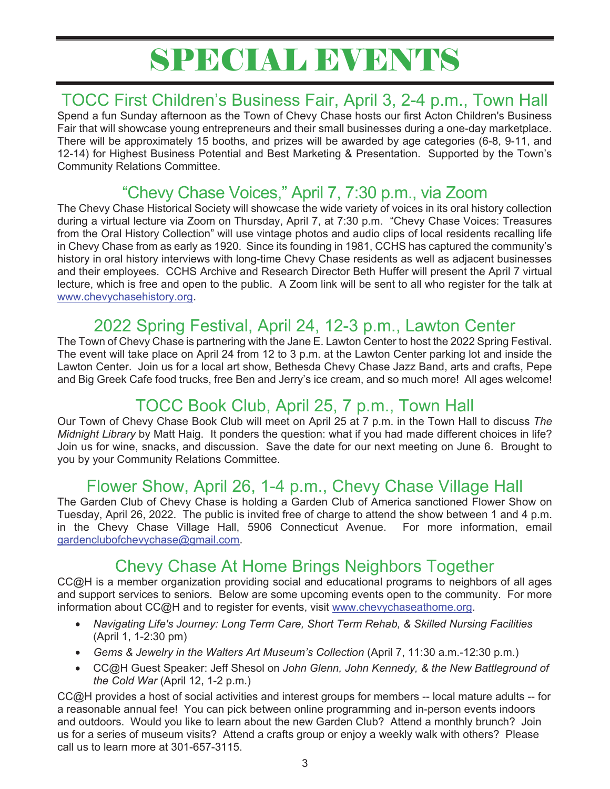## SPECIAL EVENTS

## TOCC First Children's Business Fair, April 3, 2-4 p.m., Town Hall

Spend a fun Sunday afternoon as the Town of Chevy Chase hosts our first Acton Children's Business Fair that will showcase young entrepreneurs and their small businesses during a one-day marketplace. There will be approximately 15 booths, and prizes will be awarded by age categories (6-8, 9-11, and 12-14) for Highest Business Potential and Best Marketing & Presentation. Supported by the Town's Community Relations Committee.

## "Chevy Chase Voices," April 7, 7:30 p.m., via Zoom

The Chevy Chase Historical Society will showcase the wide variety of voices in its oral history collection during a virtual lecture via Zoom on Thursday, April 7, at 7:30 p.m. "Chevy Chase Voices: Treasures from the Oral History Collection" will use vintage photos and audio clips of local residents recalling life in Chevy Chase from as early as 1920. Since its founding in 1981, CCHS has captured the community's history in oral history interviews with long-time Chevy Chase residents as well as adjacent businesses and their employees. CCHS Archive and Research Director Beth Huffer will present the April 7 virtual lecture, which is free and open to the public. A Zoom link will be sent to all who register for the talk at www.chevychasehistory.org.

## 2022 Spring Festival, April 24, 12-3 p.m., Lawton Center

The Town of Chevy Chase is partnering with the Jane E. Lawton Center to host the 2022 Spring Festival. The event will take place on April 24 from 12 to 3 p.m. at the Lawton Center parking lot and inside the Lawton Center. Join us for a local art show, Bethesda Chevy Chase Jazz Band, arts and crafts, Pepe and Big Greek Cafe food trucks, free Ben and Jerry's ice cream, and so much more! All ages welcome!

## TOCC Book Club, April 25, 7 p.m., Town Hall

Our Town of Chevy Chase Book Club will meet on April 25 at 7 p.m. in the Town Hall to discuss *The Midnight Library* by Matt Haig. It ponders the question: what if you had made different choices in life? Join us for wine, snacks, and discussion. Save the date for our next meeting on June 6. Brought to you by your Community Relations Committee.

## Flower Show, April 26, 1-4 p.m., Chevy Chase Village Hall

The Garden Club of Chevy Chase is holding a Garden Club of America sanctioned Flower Show on Tuesday, April 26, 2022. The public is invited free of charge to attend the show between 1 and 4 p.m. in the Chevy Chase Village Hall, 5906 Connecticut Avenue. For more information, email gardenclubofchevychase@gmail.com.

## Chevy Chase At Home Brings Neighbors Together

CC@H is a member organization providing social and educational programs to neighbors of all ages and support services to seniors. Below are some upcoming events open to the community. For more information about CC@H and to register for events, visit www.chevychaseathome.org.

- *Navigating Life's Journey: Long Term Care, Short Term Rehab, & Skilled Nursing Facilities* (April 1, 1-2:30 pm)
- *Gems & Jewelry in the Walters Art Museum's Collection* (April 7, 11:30 a.m.-12:30 p.m.)
- CC@H Guest Speaker: Jeff Shesol on *John Glenn, John Kennedy, & the New Battleground of the Cold War* (April 12, 1-2 p.m.)

CC@H provides a host of social activities and interest groups for members -- local mature adults -- for a reasonable annual fee! You can pick between online programming and in-person events indoors and outdoors. Would you like to learn about the new Garden Club? Attend a monthly brunch? Join us for a series of museum visits? Attend a crafts group or enjoy a weekly walk with others? Please call us to learn more at 301-657-3115.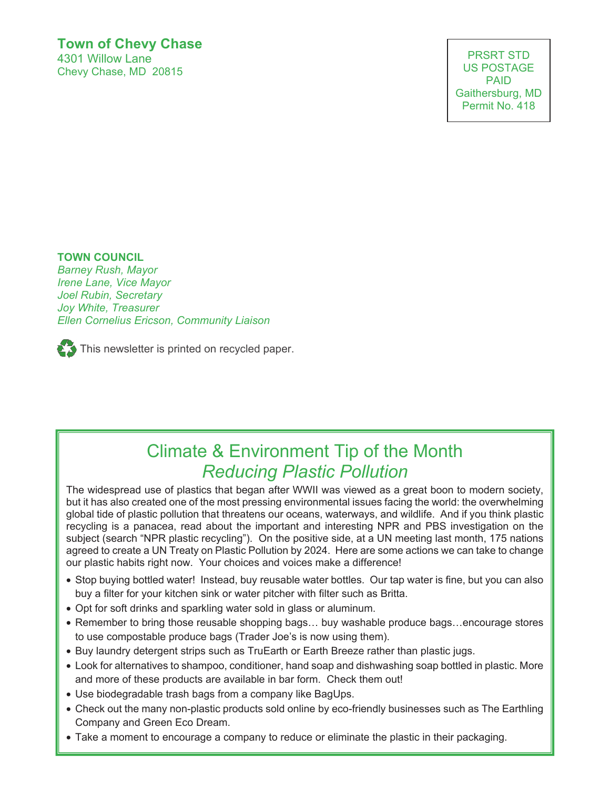### **Town of Chevy Chase** 4301 Willow Lane

Chevy Chase, MD 20815

PRSRT STD US POSTAGE PAID Gaithersburg, MD Permit No. 418

#### **TOWN COUNCIL**

*Barney Rush, Mayor Irene Lane, Vice Mayor Joel Rubin, Secretary Joy White, Treasurer Ellen Cornelius Ericson, Community Liaison* 

 $\sum$  This newsletter is printed on recycled paper.

## Climate & Environment Tip of the Month *Reducing Plastic Pollution*

The widespread use of plastics that began after WWII was viewed as a great boon to modern society, but it has also created one of the most pressing environmental issues facing the world: the overwhelming global tide of plastic pollution that threatens our oceans, waterways, and wildlife. And if you think plastic recycling is a panacea, read about the important and interesting NPR and PBS investigation on the subject (search "NPR plastic recycling"). On the positive side, at a UN meeting last month, 175 nations agreed to create a UN Treaty on Plastic Pollution by 2024. Here are some actions we can take to change our plastic habits right now. Your choices and voices make a difference!

- Stop buying bottled water! Instead, buy reusable water bottles. Our tap water is fine, but you can also buy a filter for your kitchen sink or water pitcher with filter such as Britta.
- Opt for soft drinks and sparkling water sold in glass or aluminum.
- Remember to bring those reusable shopping bags… buy washable produce bags…encourage stores to use compostable produce bags (Trader Joe's is now using them).
- Buy laundry detergent strips such as TruEarth or Earth Breeze rather than plastic jugs.
- Look for alternatives to shampoo, conditioner, hand soap and dishwashing soap bottled in plastic. More and more of these products are available in bar form. Check them out!
- Use biodegradable trash bags from a company like BagUps.
- Check out the many non-plastic products sold online by eco-friendly businesses such as The Earthling Company and Green Eco Dream.
- Take a moment to encourage a company to reduce or eliminate the plastic in their packaging.